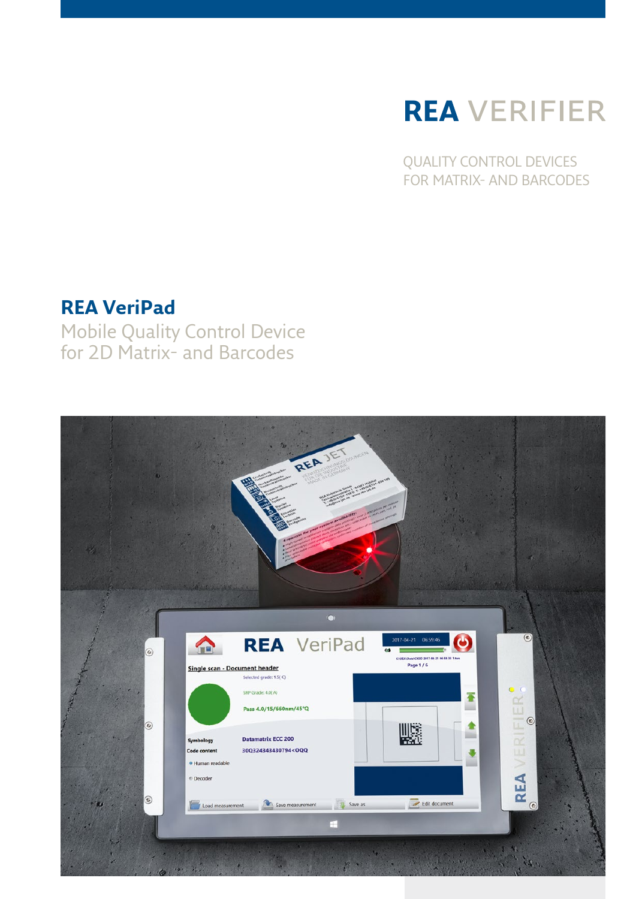# **REA** VERIFIER

QUALITY CONTROL DEVICES FOR MATRIX- AND BARCODES

### **REA VeriPad**

Mobile Quality Control Device for 2D Matrix- and Barcodes

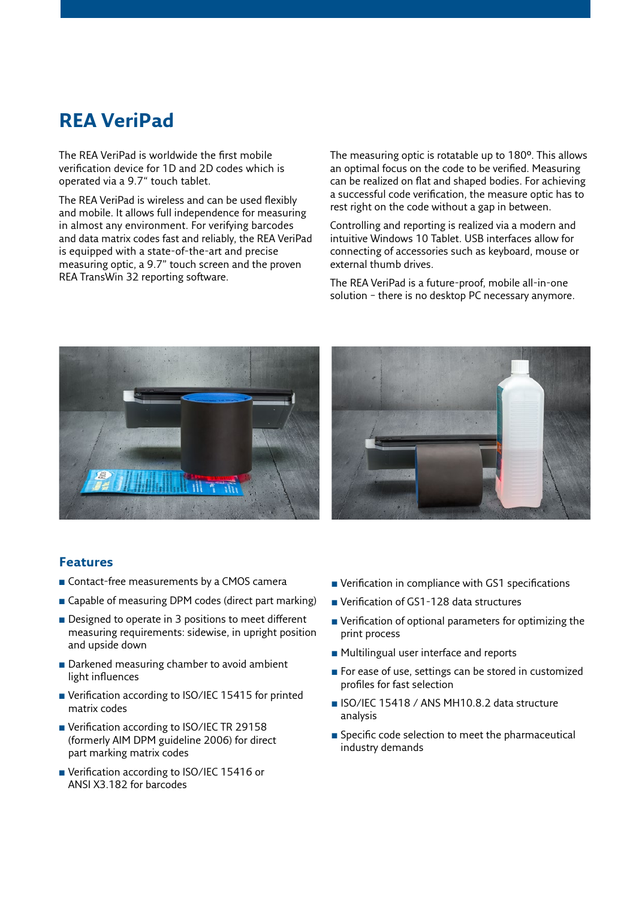### **REA VeriPad**

The REA VeriPad is worldwide the first mobile verification device for 1D and 2D codes which is operated via a 9.7" touch tablet.

The REA VeriPad is wireless and can be used flexibly and mobile. It allows full independence for measuring in almost any environment. For verifying barcodes and data matrix codes fast and reliably, the REA VeriPad is equipped with a state-of-the-art and precise measuring optic, a 9.7" touch screen and the proven REA TransWin 32 reporting software.

The measuring optic is rotatable up to 180°. This allows an optimal focus on the code to be verified. Measuring can be realized on flat and shaped bodies. For achieving a successful code verification, the measure optic has to rest right on the code without a gap in between.

Controlling and reporting is realized via a modern and intuitive Windows 10 Tablet. USB interfaces allow for connecting of accessories such as keyboard, mouse or external thumb drives.

The REA VeriPad is a future-proof, mobile all-in-one solution – there is no desktop PC necessary anymore.





#### **Features**

- Contact-free measurements by a CMOS camera
- Capable of measuring DPM codes (direct part marking)
- Designed to operate in 3 positions to meet different measuring requirements: sidewise, in upright position and upside down
- Darkened measuring chamber to avoid ambient light influences
- Verification according to ISO/IEC 15415 for printed matrix codes
- Verification according to ISO/IEC TR 29158 (formerly AIM DPM guideline 2006) for direct part marking matrix codes
- Verification according to ISO/IEC 15416 or ANSI X3.182 for barcodes
- $\blacksquare$  Verification in compliance with GS1 specifications
- Verification of GS1-128 data structures
- $\blacksquare$  Verification of optional parameters for optimizing the print process
- Multilingual user interface and reports
- For ease of use, settings can be stored in customized profiles for fast selection
- ISO/IEC 15418 / ANS MH10.8.2 data structure analysis
- **n** Specific code selection to meet the pharmaceutical industry demands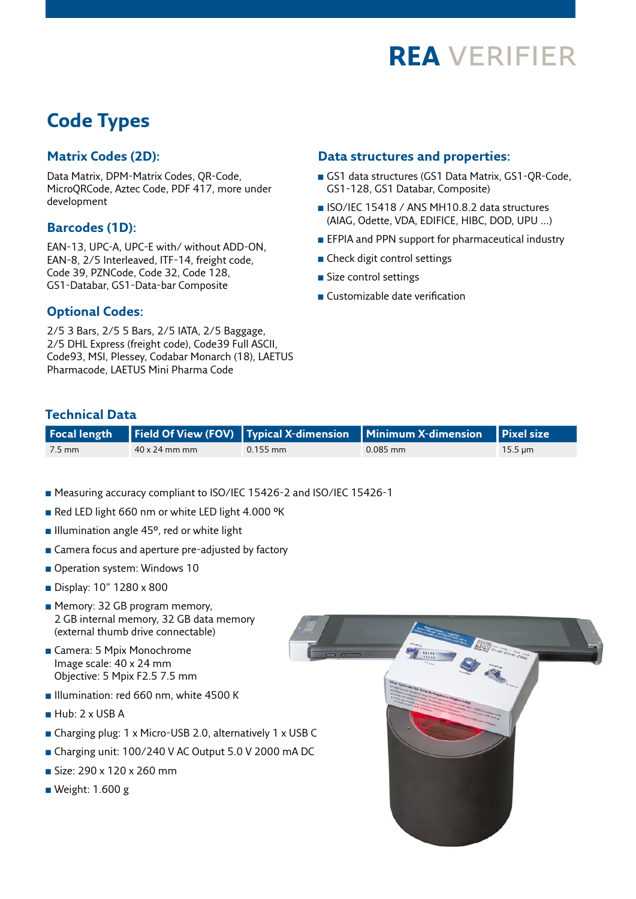

### **Code Types**

#### **Matrix Codes (2D):**

Data Matrix, DPM-Matrix Codes, QR-Code, MicroQRCode, Aztec Code, PDF 417, more under development

#### **Barcodes (1D):**

EAN-13, UPC-A, UPC-E with/ without ADD-ON, EAN-8, 2/5 Interleaved, ITF-14, freight code, Code 39, PZNCode, Code 32, Code 128, GS1-Databar, GS1-Data-bar Composite

### **Data structures and properties:**

- GS1 data structures (GS1 Data Matrix, GS1-QR-Code, GS1-128, GS1 Databar, Composite)
- <sup>n</sup> ISO/IEC 15418 / ANS MH10.8.2 data structures (AIAG, Odette, VDA, EDIFICE, HIBC, DOD, UPU …)
- **EFPIA and PPN support for pharmaceutical industry**
- **n** Check digit control settings
- $\blacksquare$  Size control settings
- **n** Customizable date verification

#### **Optional Codes:**

2/5 3 Bars, 2/5 5 Bars, 2/5 IATA, 2/5 Baggage, 2/5 DHL Express (freight code), Code39 Full ASCII, Code93, MSI, Plessey, Codabar Monarch (18), LAETUS Pharmacode, LAETUS Mini Pharma Code

#### **Technical Data**

|        |                      |            | Focal length Field Of View (FOV) Typical X-dimension Minimum X-dimension Pixel size |                           |
|--------|----------------------|------------|-------------------------------------------------------------------------------------|---------------------------|
| 7.5 mm | $40 \times 24$ mm mm | $0.155$ mm | $0.085$ mm                                                                          | $15.5 \,\mathrm{\upmu m}$ |

- Measuring accuracy compliant to ISO/IEC 15426-2 and ISO/IEC 15426-1
- Red LED light 660 nm or white LED light 4.000 °K
- Illumination angle 45°, red or white light
- Camera focus and aperture pre-adjusted by factory
- Operation system: Windows 10
- Display: 10" 1280 x 800
- **n** Memory: 32 GB program memory, 2 GB internal memory, 32 GB data memory (external thumb drive connectable)
- <sup>n</sup> Camera: 5 Mpix Monochrome Image scale: 40 x 24 mm Objective: 5 Mpix F2.5 7.5 mm
- **n** Illumination: red 660 nm, white 4500 K
- $Hub: 2 \times USB$  A
- <sup>n</sup> Charging plug: 1 x Micro-USB 2.0, alternatively 1 x USB C
- <sup>n</sup> Charging unit: 100/240 V AC Output 5.0 V 2000 mA DC
- $Size: 290 \times 120 \times 260$  mm
- Weight:  $1.600 g$